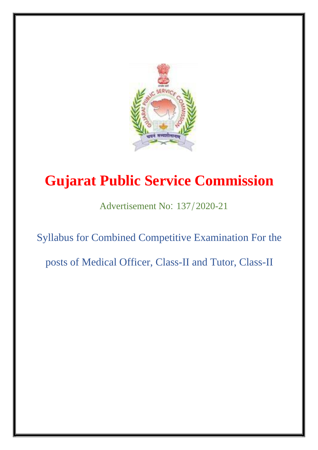

## **Gujarat Public Service Commission**

Advertisement No: 137/2020-21

Syllabus for Combined Competitive Examination For the

posts of Medical Officer, Class-II and Tutor, Class-II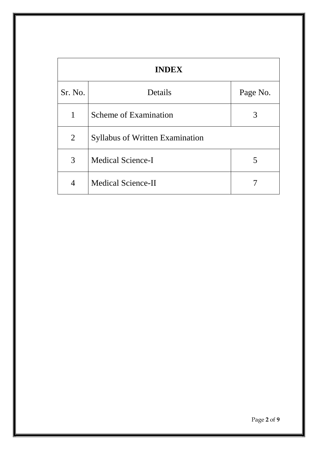| <b>INDEX</b>   |                                        |          |  |  |  |
|----------------|----------------------------------------|----------|--|--|--|
| Sr. No.        | Details                                | Page No. |  |  |  |
| 1              | Scheme of Examination                  | 3        |  |  |  |
| 2              | <b>Syllabus of Written Examination</b> |          |  |  |  |
| 3              | <b>Medical Science-I</b>               | 5        |  |  |  |
| $\overline{4}$ | <b>Medical Science-II</b>              |          |  |  |  |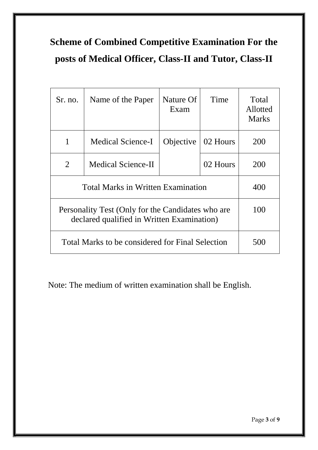## **Scheme of Combined Competitive Examination For the posts of Medical Officer, Class-II and Tutor, Class-II**

| Sr. no.                                                                                         | Name of the Paper  | Nature Of<br>Exam | Time     | Total<br>Allotted<br><b>Marks</b> |
|-------------------------------------------------------------------------------------------------|--------------------|-------------------|----------|-----------------------------------|
| 1                                                                                               | Medical Science-I  | Objective         | 02 Hours | 200                               |
| $\overline{2}$                                                                                  | Medical Science-II |                   | 02 Hours | 200                               |
| <b>Total Marks in Written Examination</b>                                                       | 400                |                   |          |                                   |
| Personality Test (Only for the Candidates who are<br>declared qualified in Written Examination) | 100                |                   |          |                                   |
| Total Marks to be considered for Final Selection                                                | 50C                |                   |          |                                   |

Note: The medium of written examination shall be English.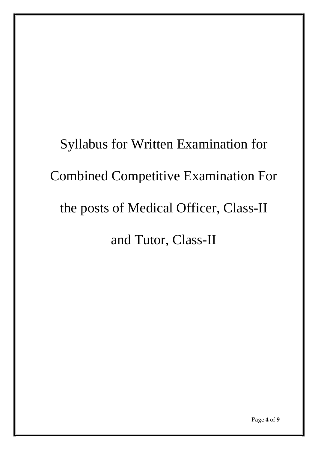# Syllabus for Written Examination for Combined Competitive Examination For the posts of Medical Officer, Class-II and Tutor, Class-II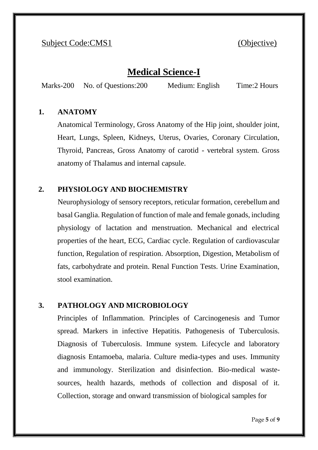#### Subject Code:CMS1 (Objective)

#### **Medical Science-I**

Marks-200 No. of Questions:200 Medium: English Time:2 Hours

#### **1. ANATOMY**

Anatomical Terminology, Gross Anatomy of the Hip joint, shoulder joint, Heart, Lungs, Spleen, Kidneys, Uterus, Ovaries, Coronary Circulation, Thyroid, Pancreas, Gross Anatomy of carotid - vertebral system. Gross anatomy of Thalamus and internal capsule.

#### **2. PHYSIOLOGY AND BIOCHEMISTRY**

Neurophysiology of sensory receptors, reticular formation, cerebellum and basal Ganglia. Regulation of function of male and female gonads, including physiology of lactation and menstruation. Mechanical and electrical properties of the heart, ECG, Cardiac cycle. Regulation of cardiovascular function, Regulation of respiration. Absorption, Digestion, Metabolism of fats, carbohydrate and protein. Renal Function Tests. Urine Examination, stool examination.

#### **3. PATHOLOGY AND MICROBIOLOGY**

Principles of Inflammation. Principles of Carcinogenesis and Tumor spread. Markers in infective Hepatitis. Pathogenesis of Tuberculosis. Diagnosis of Tuberculosis. Immune system. Lifecycle and laboratory diagnosis Entamoeba, malaria. Culture media-types and uses. Immunity and immunology. Sterilization and disinfection. Bio-medical wastesources, health hazards, methods of collection and disposal of it. Collection, storage and onward transmission of biological samples for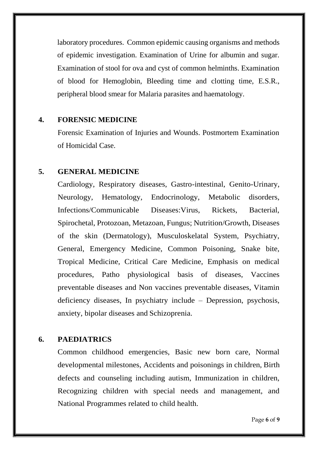laboratory procedures. Common epidemic causing organisms and methods of epidemic investigation. Examination of Urine for albumin and sugar. Examination of stool for ova and cyst of common helminths. Examination of blood for Hemoglobin, Bleeding time and clotting time, E.S.R., peripheral blood smear for Malaria parasites and haematology.

#### **4. FORENSIC MEDICINE**

Forensic Examination of Injuries and Wounds. Postmortem Examination of Homicidal Case.

#### **5. GENERAL MEDICINE**

Cardiology, Respiratory diseases, Gastro-intestinal, Genito-Urinary, Neurology, Hematology, Endocrinology, Metabolic disorders, Infections/Communicable Diseases:Virus, Rickets, Bacterial, Spirochetal, Protozoan, Metazoan, Fungus; Nutrition/Growth, Diseases of the skin (Dermatology), Musculoskelatal System, Psychiatry, General, Emergency Medicine, Common Poisoning, Snake bite, Tropical Medicine, Critical Care Medicine, Emphasis on medical procedures, Patho physiological basis of diseases, Vaccines preventable diseases and Non vaccines preventable diseases, Vitamin deficiency diseases, In psychiatry include – Depression, psychosis, anxiety, bipolar diseases and Schizoprenia.

#### **6. PAEDIATRICS**

Common childhood emergencies, Basic new born care, Normal developmental milestones, Accidents and poisonings in children, Birth defects and counseling including autism, Immunization in children, Recognizing children with special needs and management, and National Programmes related to child health.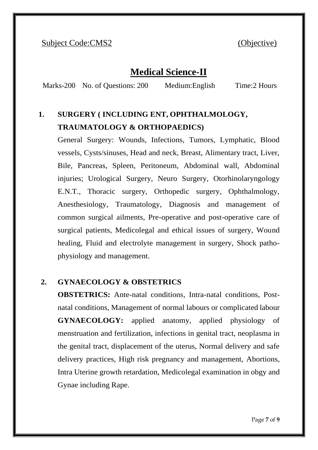#### Subject Code:CMS2 (Objective)

#### **Medical Science-II**

Marks-200 No. of Questions: 200 Medium:English Time:2 Hours

### **1. SURGERY ( INCLUDING ENT, OPHTHALMOLOGY, TRAUMATOLOGY & ORTHOPAEDICS)**

General Surgery: Wounds, Infections, Tumors, Lymphatic, Blood vessels, Cysts/sinuses, Head and neck, Breast, Alimentary tract, Liver, Bile, Pancreas, Spleen, Peritoneum, Abdominal wall, Abdominal injuries; Urological Surgery, Neuro Surgery, Otorhinolaryngology E.N.T., Thoracic surgery, Orthopedic surgery, Ophthalmology, Anesthesiology, Traumatology, Diagnosis and management of common surgical ailments, Pre-operative and post-operative care of surgical patients, Medicolegal and ethical issues of surgery, Wound healing, Fluid and electrolyte management in surgery, Shock pathophysiology and management.

#### **2. GYNAECOLOGY & OBSTETRICS**

**OBSTETRICS:** Ante-natal conditions, Intra-natal conditions, Postnatal conditions, Management of normal labours or complicated labour **GYNAECOLOGY:** applied anatomy, applied physiology of menstruation and fertilization, infections in genital tract, neoplasma in the genital tract, displacement of the uterus, Normal delivery and safe delivery practices, High risk pregnancy and management, Abortions, Intra Uterine growth retardation, Medicolegal examination in obgy and Gynae including Rape.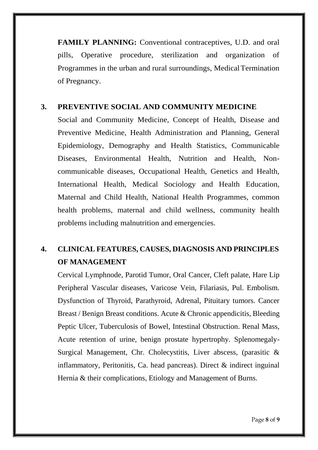**FAMILY PLANNING:** Conventional contraceptives, U.D. and oral pills, Operative procedure, sterilization and organization of Programmes in the urban and rural surroundings, MedicalTermination of Pregnancy.

#### **3. PREVENTIVE SOCIAL AND COMMUNITY MEDICINE**

Social and Community Medicine, Concept of Health, Disease and Preventive Medicine, Health Administration and Planning, General Epidemiology, Demography and Health Statistics, Communicable Diseases, Environmental Health, Nutrition and Health, Noncommunicable diseases, Occupational Health, Genetics and Health, International Health, Medical Sociology and Health Education, Maternal and Child Health, National Health Programmes, common health problems, maternal and child wellness, community health problems including malnutrition and emergencies.

#### **4. CLINICAL FEATURES, CAUSES, DIAGNOSIS AND PRINCIPLES OF MANAGEMENT**

Cervical Lymphnode, Parotid Tumor, Oral Cancer, Cleft palate, Hare Lip Peripheral Vascular diseases, Varicose Vein, Filariasis, Pul. Embolism. Dysfunction of Thyroid, Parathyroid, Adrenal, Pituitary tumors. Cancer Breast / Benign Breast conditions. Acute & Chronic appendicitis, Bleeding Peptic Ulcer, Tuberculosis of Bowel, Intestinal Obstruction. Renal Mass, Acute retention of urine, benign prostate hypertrophy. Splenomegaly-Surgical Management, Chr. Cholecystitis, Liver abscess, (parasitic & inflammatory, Peritonitis, Ca. head pancreas). Direct  $\&$  indirect inguinal Hernia & their complications, Etiology and Management of Burns.